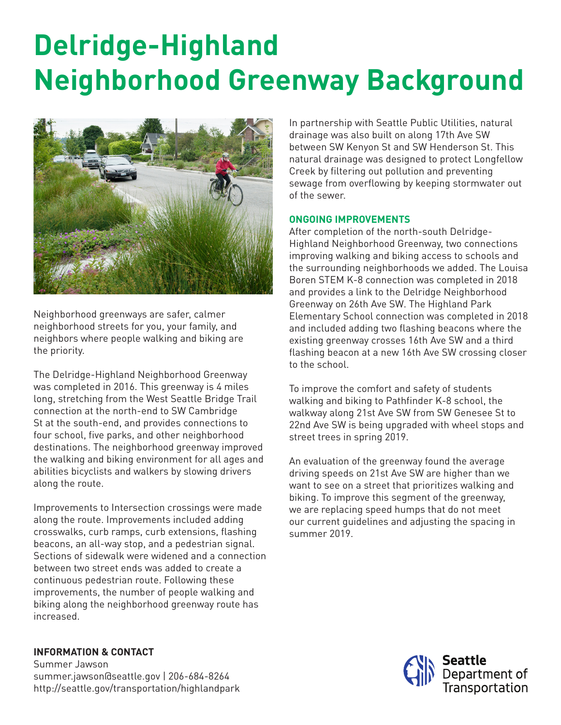## **Delridge-Highland Neighborhood Greenway Background**



Neighborhood greenways are safer, calmer neighborhood streets for you, your family, and neighbors where people walking and biking are the priority.

The Delridge-Highland Neighborhood Greenway was completed in 2016. This greenway is 4 miles long, stretching from the West Seattle Bridge Trail connection at the north-end to SW Cambridge St at the south-end, and provides connections to four school, five parks, and other neighborhood destinations. The neighborhood greenway improved the walking and biking environment for all ages and abilities bicyclists and walkers by slowing drivers along the route.

Improvements to Intersection crossings were made along the route. Improvements included adding crosswalks, curb ramps, curb extensions, flashing beacons, an all-way stop, and a pedestrian signal. Sections of sidewalk were widened and a connection between two street ends was added to create a continuous pedestrian route. Following these improvements, the number of people walking and biking along the neighborhood greenway route has increased.

**INFORMATION & CONTACT** Summer Jawson summer.jawson@seattle.gov | 206-684-8264 http://seattle.gov/transportation/highlandpark In partnership with Seattle Public Utilities, natural drainage was also built on along 17th Ave SW between SW Kenyon St and SW Henderson St. This natural drainage was designed to protect Longfellow Creek by filtering out pollution and preventing sewage from overflowing by keeping stormwater out of the sewer.

## **ONGOING IMPROVEMENTS**

After completion of the north-south Delridge-Highland Neighborhood Greenway, two connections improving walking and biking access to schools and the surrounding neighborhoods we added. The Louisa Boren STEM K-8 connection was completed in 2018 and provides a link to the Delridge Neighborhood Greenway on 26th Ave SW. The Highland Park Elementary School connection was completed in 2018 and included adding two flashing beacons where the existing greenway crosses 16th Ave SW and a third flashing beacon at a new 16th Ave SW crossing closer to the school.

To improve the comfort and safety of students walking and biking to Pathfinder K-8 school, the walkway along 21st Ave SW from SW Genesee St to 22nd Ave SW is being upgraded with wheel stops and street trees in spring 2019.

An evaluation of the greenway found the average driving speeds on 21st Ave SW are higher than we want to see on a street that prioritizes walking and biking. To improve this segment of the greenway, we are replacing speed humps that do not meet our current guidelines and adjusting the spacing in summer 2019.